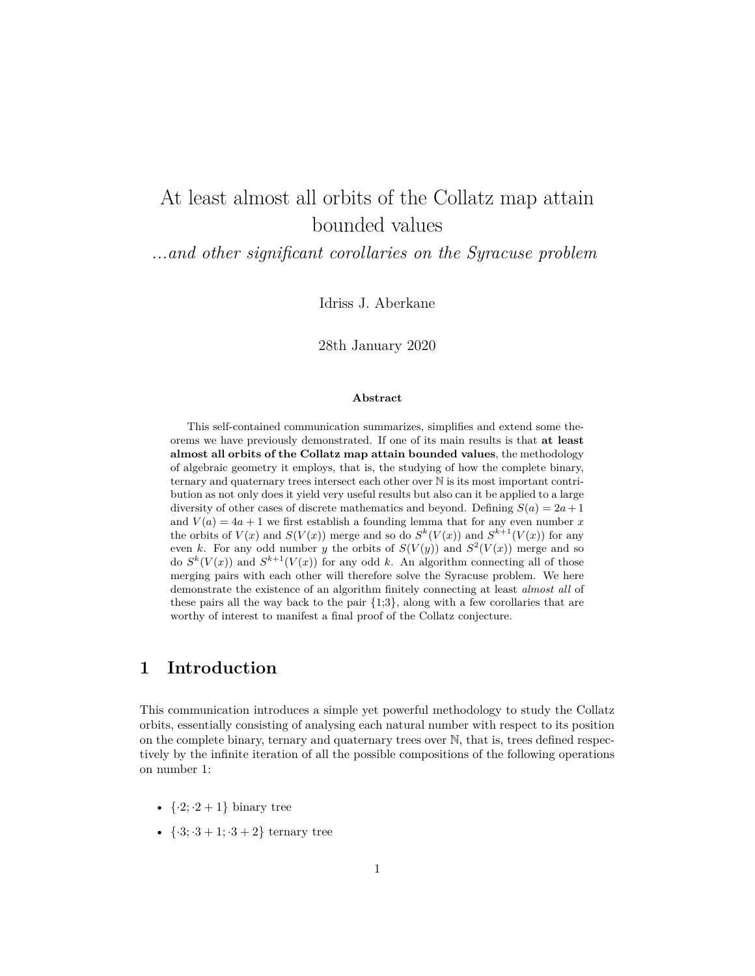# At least almost all orbits of the Collatz map attain bounded values

*...and other significant corollaries on the Syracuse problem*

Idriss J. Aberkane

28th January 2020

### **Abstract**

This self-contained communication summarizes, simplifies and extend some theorems we have previously demonstrated. If one of its main results is that **at least almost all orbits of the Collatz map attain bounded values**, the methodology of algebraic geometry it employs, that is, the studying of how the complete binary, ternary and quaternary trees intersect each other over N is its most important contribution as not only does it yield very useful results but also can it be applied to a large diversity of other cases of discrete mathematics and beyond. Defining  $S(a) = 2a + 1$ and  $V(a) = 4a + 1$  we first establish a founding lemma that for any even number x the orbits of  $V(x)$  and  $S(V(x))$  merge and so do  $S^k(V(x))$  and  $S^{k+1}(V(x))$  for any even *k*. For any odd number *y* the orbits of  $S(V(y))$  and  $S^2(V(x))$  merge and so do  $S^k(V(x))$  and  $S^{k+1}(V(x))$  for any odd k. An algorithm connecting all of those merging pairs with each other will therefore solve the Syracuse problem. We here demonstrate the existence of an algorithm finitely connecting at least *almost all* of these pairs all the way back to the pair {1;3}, along with a few corollaries that are worthy of interest to manifest a final proof of the Collatz conjecture.

## **1 Introduction**

This communication introduces a simple yet powerful methodology to study the Collatz orbits, essentially consisting of analysing each natural number with respect to its position on the complete binary, ternary and quaternary trees over N, that is, trees defined respectively by the infinite iteration of all the possible compositions of the following operations on number 1:

- $\{ \cdot2; \cdot2+1 \}$  binary tree
- $\{ \cdot3; \cdot3 + 1; \cdot3 + 2 \}$  ternary tree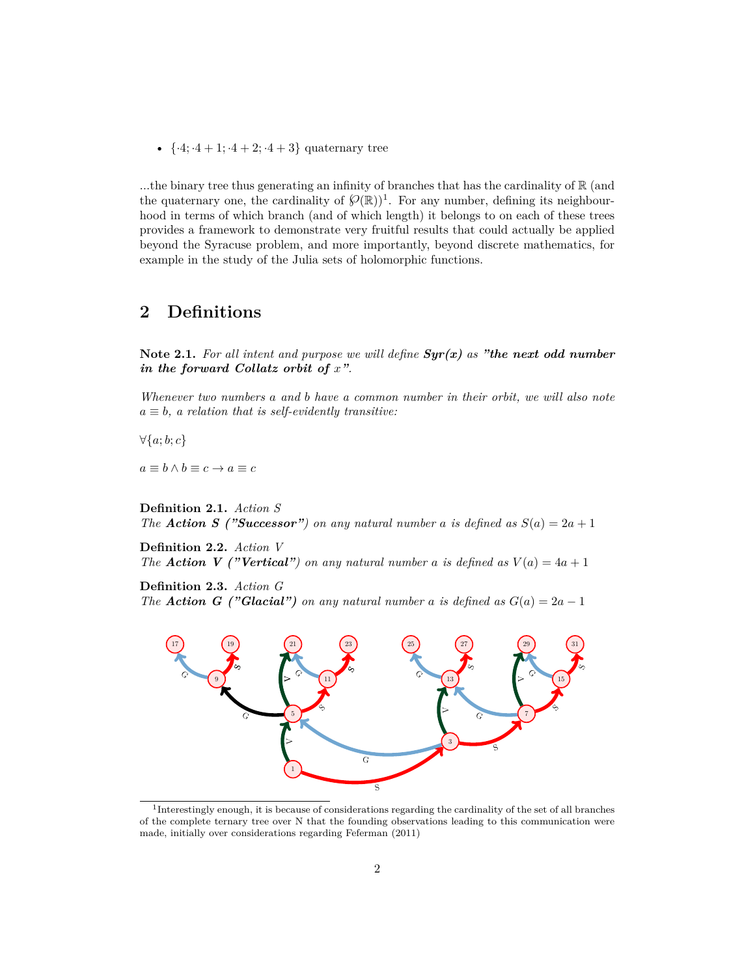•  $\{ \cdot 4; \cdot 4 + 1; \cdot 4 + 2; \cdot 4 + 3 \}$  quaternary tree

...the binary tree thus generating an infinity of branches that has the cardinality of  $\mathbb R$  (and the quaternary one, the cardinality of  $\mathcal{P}(\mathbb{R})$ <sup>1</sup>. For any number, defining its neighbourhood in terms of which branch (and of which length) it belongs to on each of these trees provides a framework to demonstrate very fruitful results that could actually be applied beyond the Syracuse problem, and more importantly, beyond discrete mathematics, for example in the study of the Julia sets of holomorphic functions.

## **2 Definitions**

**Note 2.1.** *For all intent and purpose we will define Syr(x) as "the next odd number in the forward Collatz orbit of x".*

*Whenever two numbers a and b have a common number in their orbit, we will also note*  $a \equiv b$ *, a relation that is self-evidently transitive:* 

*∀{a*; *b*; *c}*

 $a \equiv b \land b \equiv c \rightarrow a \equiv c$ 

**Definition 2.1.** *Action S The Action S ("Successor") on any natural number a is defined as* $S(a) = 2a + 1$ 

**Definition 2.2.** *Action V The Action V ("Vertical") on any natural number a is defined as* $V(a) = 4a + 1$ 

**Definition 2.3.** *Action G The Action G ("Glacial") on any natural number a is defined as*  $G(a) = 2a - 1$ 



<sup>&</sup>lt;sup>1</sup>Interestingly enough, it is because of considerations regarding the cardinality of the set of all branches of the complete ternary tree over N that the founding observations leading to this communication were made, initially over considerations regarding Feferman (2011)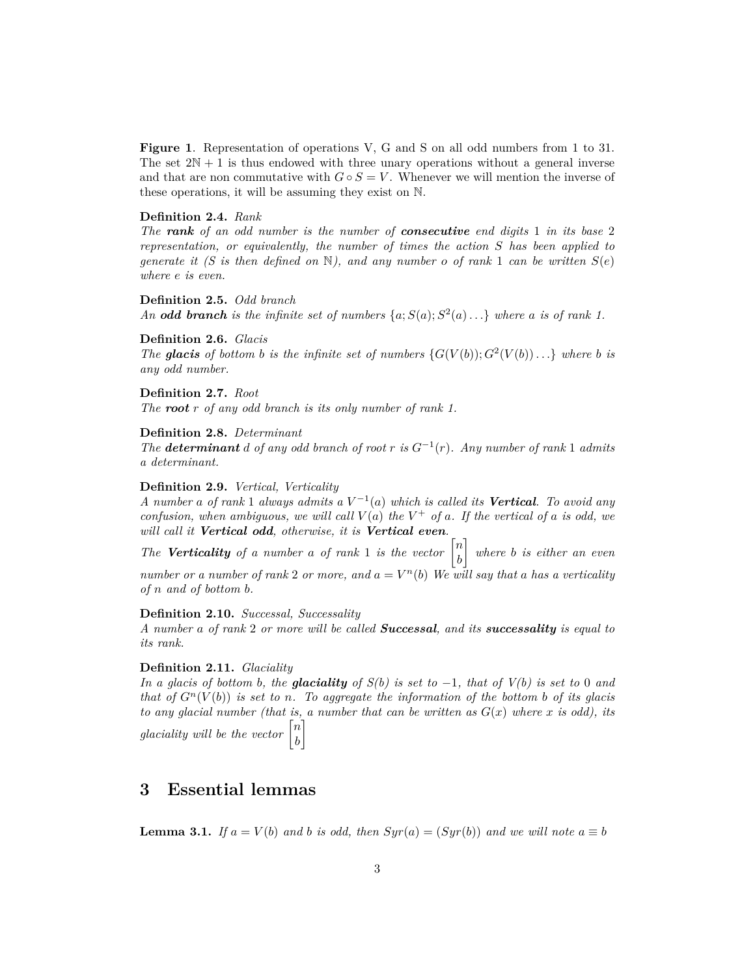**Figure 1**. Representation of operations V, G and S on all odd numbers from 1 to 31. The set  $2N + 1$  is thus endowed with three unary operations without a general inverse and that are non commutative with  $G \circ S = V$ . Whenever we will mention the inverse of these operations, it will be assuming they exist on N.

### **Definition 2.4.** *Rank*

*The rank of an odd number is the number of consecutive end digits* 1 *in its base* 2 *representation, or equivalently, the number of times the action S has been applied to generate it (S is then defined on*  $\mathbb{N}$ ), and any number *o of rank* 1 *can be written*  $S(e)$ *where e is even.*

**Definition 2.5.** *Odd branch An* **odd branch** is the infinite set of numbers  $\{a; S(a); S^2(a) \ldots\}$  where a is of rank 1.

### **Definition 2.6.** *Glacis*

*The* **glacis** of bottom **b** is the infinite set of numbers  $\{G(V(b)); G^2(V(b))\ldots\}$  where **b** is *any odd number.*

**Definition 2.7.** *Root The root r of any odd branch is its only number of rank 1.*

## **Definition 2.8.** *Determinant*

*The determinant d of any odd branch of root r is*  $G^{-1}(r)$ *. Any number of rank* 1 *admits a determinant.*

#### **Definition 2.9.** *Vertical, Verticality*

*A number a of rank* 1 *always admits a V −*1 (*a*) *which is called its Vertical. To avoid any confusion, when ambiguous, we will call*  $V(a)$  *the*  $V^+$  *of a. If the vertical of a is odd, we will call it Vertical odd, otherwise, it is Vertical even.*

*The Verticality* of a number a of rank 1 is the vector  $\begin{bmatrix} n \\ n \end{bmatrix}$ *b* ] *where b is either an even number or a number of rank* 2 *or more, and*  $a = V^n(b)$  *We will say that a has a verticality of n and of bottom b.*

#### **Definition 2.10.** *Successal, Successality*

*A number a of rank* 2 *or more will be called Successal, and its successality is equal to its rank.*

### **Definition 2.11.** *Glaciality*

*In a glacis of bottom b, the glaciality of*  $S(b)$  *is set to*  $-1$ *, that of*  $V(b)$  *is set to 0 and that of*  $G<sup>n</sup>(V(b))$  *is set to n. To aggregate the information of the bottom b of its glacis to any glacial number (that is, a number that can be written as*  $G(x)$  where *x is odd), its glaciality will be the vector*  $\begin{bmatrix} n \\ n \end{bmatrix}$ *b* ]

## **3 Essential lemmas**

**Lemma 3.1.** *If*  $a = V(b)$  *and b is odd, then*  $Syr(a) = (Syr(b))$  *and we will note*  $a \equiv b$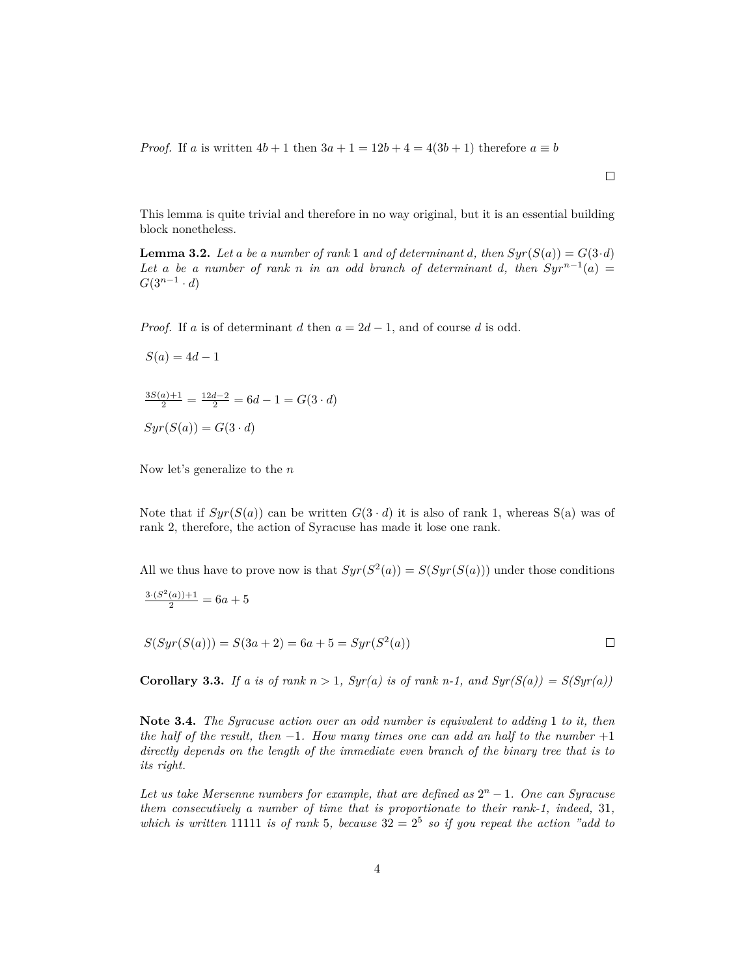*Proof.* If *a* is written  $4b + 1$  then  $3a + 1 = 12b + 4 = 4(3b + 1)$  therefore  $a \equiv b$ 

This lemma is quite trivial and therefore in no way original, but it is an essential building block nonetheless.

**Lemma 3.2.** Let a be a number of rank 1 and of determinant *d*, then  $Syr(S(a)) = G(3 \cdot d)$ *Let a be a number of rank n in an odd branch of determinant d, then*  $Syr^{n-1}(a)$  = *G*(3*n−*<sup>1</sup> *· d*)

*Proof.* If *a* is of determinant *d* then  $a = 2d - 1$ , and of course *d* is odd.

$$
S(a) = 4d - 1
$$

 $\frac{3S(a)+1}{2} = \frac{12d-2}{2} = 6d-1 = G(3 \cdot d)$  $Syr(S(a)) = G(3 \cdot d)$ 

Now let's generalize to the *n*

Note that if  $Syr(S(a))$  can be written  $G(3 \cdot d)$  it is also of rank 1, whereas S(a) was of rank 2, therefore, the action of Syracuse has made it lose one rank.

All we thus have to prove now is that  $Syr(S^2(a)) = S(Syr(S(a)))$  under those conditions

$$
\frac{3\cdot (S^2(a))+1}{2} = 6a + 5
$$

 $S(Syr(S(a))) = S(3a + 2) = 6a + 5 = Syr(S<sup>2</sup>(a))$  $\Box$ 

**Corollary 3.3.** *If a is of rank*  $n > 1$ *, Syr(a) is of rank*  $n-1$ *, and Syr(S(a)) = S(Syr(a))* 

**Note 3.4.** *The Syracuse action over an odd number is equivalent to adding* 1 *to it, then the half of the result, then −*1*. How many times one can add an half to the number* +1 *directly depends on the length of the immediate even branch of the binary tree that is to its right.*

Let us take Mersenne numbers for example, that are defined as  $2<sup>n</sup> - 1$ . One can Syracuse *them consecutively a number of time that is proportionate to their rank-1, indeed,* 31*,* which is written 11111 is of rank 5, because  $32 = 2^5$  so if you repeat the action "add to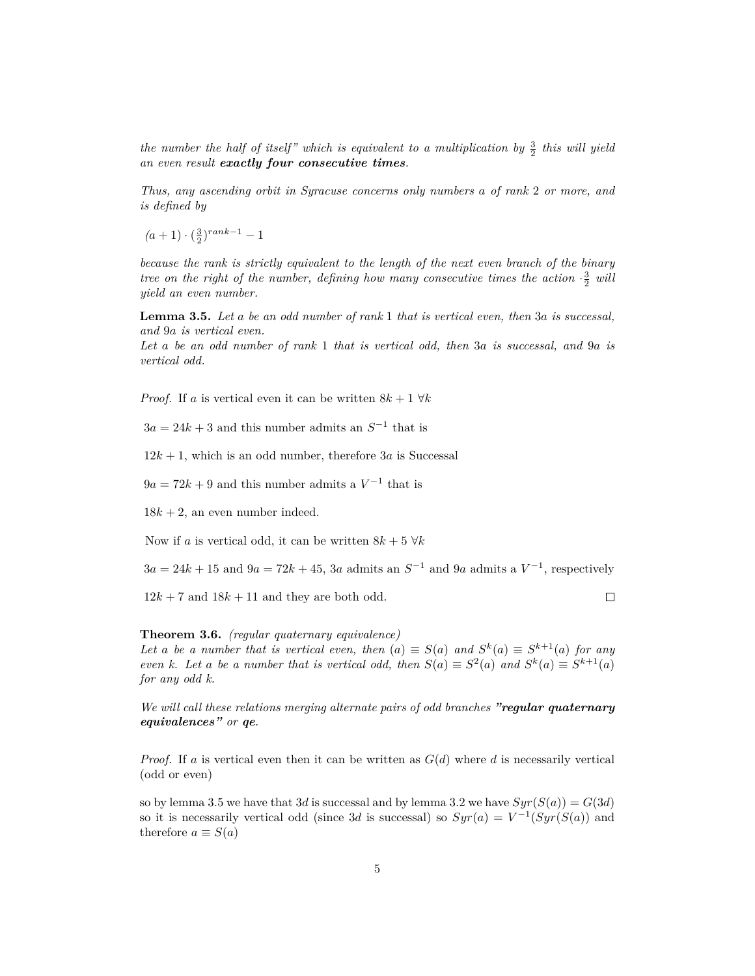*the number the half of itself" which is equivalent to a multiplication by*  $\frac{3}{2}$  *this will yield an even result exactly four consecutive times.*

*Thus, any ascending orbit in Syracuse concerns only numbers a of rank* 2 *or more, and is defined by*

 $(a+1) \cdot (\frac{3}{2})^{rank-1} - 1$ 

*because the rank is strictly equivalent to the length of the next even branch of the binary tree on the right of the number, defining how many consecutive times the action*  $\cdot \frac{3}{2}$  will *yield an even number.*

**Lemma 3.5.** *Let a be an odd number of rank* 1 *that is vertical even, then* 3*a is successal, and* 9*a is vertical even.*

*Let a be an odd number of rank* 1 *that is vertical odd, then* 3*a is successal, and* 9*a is vertical odd.*

*Proof.* If *a* is vertical even it can be written  $8k + 1 \forall k$ 

 $3a = 24k + 3$  and this number admits an  $S^{-1}$  that is

 $12k + 1$ , which is an odd number, therefore 3*a* is Successal

 $9a = 72k + 9$  and this number admits a  $V^{-1}$  that is

 $18k + 2$ , an even number indeed.

Now if *a* is vertical odd, it can be written  $8k + 5 \forall k$ 

 $3a = 24k + 15$  and  $9a = 72k + 45$ ,  $3a$  admits an  $S^{-1}$  and  $9a$  admits a  $V^{-1}$ , respectively

 $12k + 7$  and  $18k + 11$  and they are both odd.

 $\Box$ 

**Theorem 3.6.** *(regular quaternary equivalence)*

*Let a be a number that is vertical even, then*  $(a) \equiv S(a)$  *and*  $S^k(a) \equiv S^{k+1}(a)$  *for any even k. Let a be a number that is vertical odd, then*  $S(a) \equiv S^2(a)$  *and*  $S^k(a) \equiv S^{k+1}(a)$ *for any odd k.*

*We will call these relations merging alternate pairs of odd branches "regular quaternary equivalences" or qe.*

*Proof.* If *a* is vertical even then it can be written as  $G(d)$  where *d* is necessarily vertical (odd or even)

so by lemma 3.5 we have that 3*d* is successal and by lemma 3.2 we have  $Syr(S(a)) = G(3d)$ so it is necessarily vertical odd (since 3*d* is successal) so  $Syr(a) = V^{-1}(Syr(S(a))$  and therefore  $a \equiv S(a)$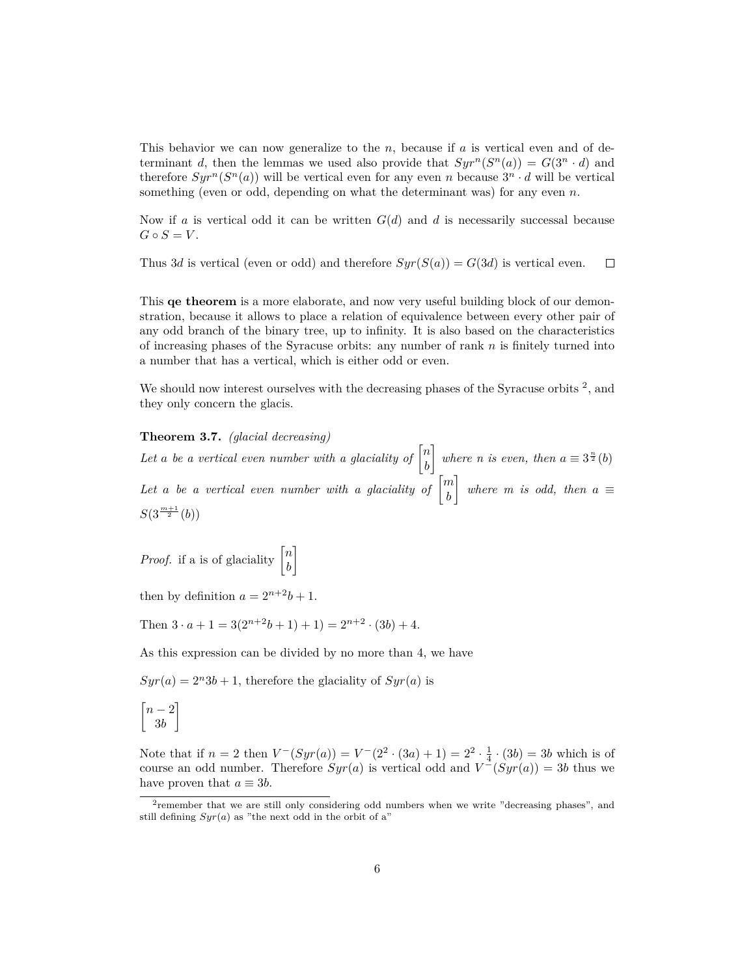This behavior we can now generalize to the *n*, because if *a* is vertical even and of determinant *d*, then the lemmas we used also provide that  $Syr^n(S^n(a)) = G(3^n \cdot d)$  and therefore  $Syr^n(S^n(a))$  will be vertical even for any even *n* because  $3^n \cdot d$  will be vertical something (even or odd, depending on what the determinant was) for any even *n*.

Now if *a* is vertical odd it can be written *G*(*d*) and *d* is necessarily successal because  $G \circ S = V$ .

Thus 3*d* is vertical (even or odd) and therefore  $Syr(S(a)) = G(3d)$  is vertical even.  $\Box$ 

This **qe theorem** is a more elaborate, and now very useful building block of our demonstration, because it allows to place a relation of equivalence between every other pair of any odd branch of the binary tree, up to infinity. It is also based on the characteristics of increasing phases of the Syracuse orbits: any number of rank *n* is finitely turned into a number that has a vertical, which is either odd or even.

We should now interest ourselves with the decreasing phases of the Syracuse orbits  $2$ , and they only concern the glacis.

### **Theorem 3.7.** *(glacial decreasing)*

Let a be a vertical even number with a glaciality of  $\begin{bmatrix} n \\ n \end{bmatrix}$ *b* ] *where n is even, then*  $a \equiv 3^{\frac{n}{2}}(b)$ Let *a* be a vertical even number with a glaciality of  $\begin{bmatrix} m \\ n \end{bmatrix}$ *b* ] *where m is odd, then*  $a \equiv$  $S(3^{\frac{m+1}{2}}(b))$ 

*Proof.* if a is of glaciality  $\begin{bmatrix} n \\ n \end{bmatrix}$ *b* ]

then by definition  $a = 2^{n+2}b + 1$ .

Then  $3 \cdot a + 1 = 3(2^{n+2}b + 1) + 1 = 2^{n+2} \cdot (3b) + 4$ .

As this expression can be divided by no more than 4, we have

 $Syr(a) = 2<sup>n</sup>3b + 1$ , therefore the glaciality of  $Syr(a)$  is

$$
\begin{bmatrix} n-2 \\ 3b \end{bmatrix}
$$

Note that if  $n = 2$  then  $V^-(Syr(a)) = V^-(2^2 \cdot (3a) + 1) = 2^2 \cdot \frac{1}{4} \cdot (3b) = 3b$  which is of course an odd number. Therefore  $Syr(a)$  is vertical odd and  $V^-(Syr(a)) = 3b$  thus we have proven that  $a \equiv 3b$ .

<sup>&</sup>lt;sup>2</sup>remember that we are still only considering odd numbers when we write "decreasing phases", and still defining  $Syr(a)$  as "the next odd in the orbit of a"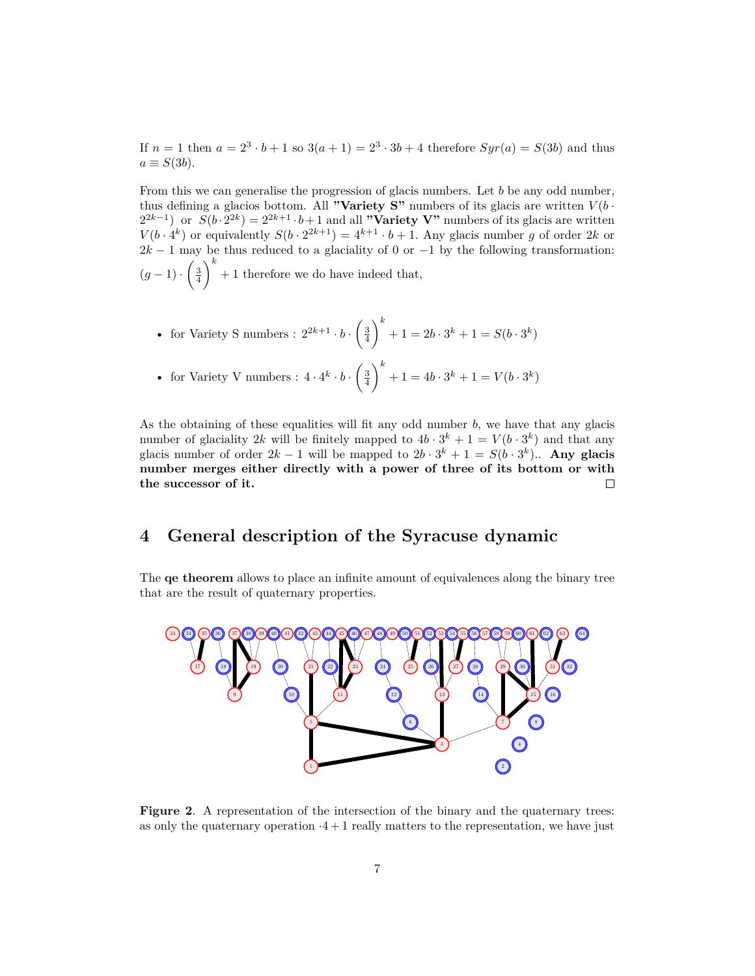If  $n = 1$  then  $a = 2^3 \cdot b + 1$  so  $3(a + 1) = 2^3 \cdot 3b + 4$  therefore  $Syr(a) = S(3b)$  and thus  $a \equiv S(3b)$ .

From this we can generalise the progression of glacis numbers. Let *b* be any odd number, thus defining a glacios bottom. All **"Variety S"** numbers of its glacis are written  $V(b \cdot \hat{\theta})$  $2^{2k-1}$  or  $S(b \cdot 2^{2k}) = 2^{2k+1} \cdot b + 1$  and all "Variety V" numbers of its glacis are written  $V(b \cdot 4^k)$  or equivalently  $S(b \cdot 2^{2k+1}) = 4^{k+1} \cdot b + 1$ . Any glacis number *g* of order 2*k* or  $2k - 1$  may be thus reduced to a glaciality of 0 or  $-1$  by the following transformation:  $(g-1)$  *·*  $\left(\frac{3}{4}\right)$  $\setminus^k$ + 1 therefore we do have indeed that,

• for Variety S numbers : 
$$
2^{2k+1} \cdot b \cdot \left(\frac{3}{4}\right)^k + 1 = 2b \cdot 3^k + 1 = S(b \cdot 3^k)
$$

• for Variety V numbers : 
$$
4 \cdot 4^k \cdot b \cdot \left(\frac{3}{4}\right)^k + 1 = 4b \cdot 3^k + 1 = V(b \cdot 3^k)
$$

As the obtaining of these equalities will fit any odd number *b*, we have that any glacis number of glaciality 2k will be finitely mapped to  $4b \cdot 3^k + 1 = V(b \cdot 3^k)$  and that any glacis number of order  $2k - 1$  will be mapped to  $2b \cdot 3^k + 1 = S(b \cdot 3^k)$ . Any glacis **number merges either directly with a power of three of its bottom or with the successor of it.**  $\Box$ 

## **4 General description of the Syracuse dynamic**

The **qe theorem** allows to place an infinite amount of equivalences along the binary tree that are the result of quaternary properties.



**Figure 2**. A representation of the intersection of the binary and the quaternary trees: as only the quaternary operation  $·4 + 1$  really matters to the representation, we have just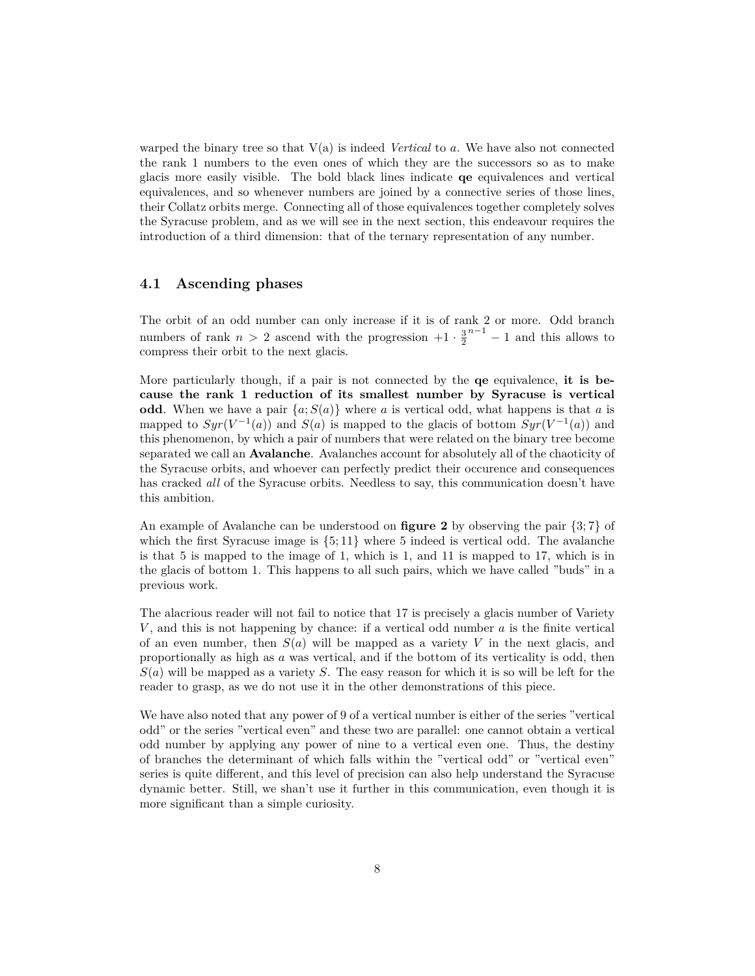warped the binary tree so that  $V(a)$  is indeed *Vertical* to a. We have also not connected the rank 1 numbers to the even ones of which they are the successors so as to make glacis more easily visible. The bold black lines indicate **qe** equivalences and vertical equivalences, and so whenever numbers are joined by a connective series of those lines, their Collatz orbits merge. Connecting all of those equivalences together completely solves the Syracuse problem, and as we will see in the next section, this endeavour requires the introduction of a third dimension: that of the ternary representation of any number.

## **4.1 Ascending phases**

The orbit of an odd number can only increase if it is of rank 2 or more. Odd branch numbers of rank  $n > 2$  ascend with the progression  $+1 \cdot \frac{3}{2}^{n-1} - 1$  and this allows to compress their orbit to the next glacis.

More particularly though, if a pair is not connected by the **qe** equivalence, **it is because the rank 1 reduction of its smallest number by Syracuse is vertical odd**. When we have a pair  $\{a; S(a)\}$  where *a* is vertical odd, what happens is that *a* is mapped to  $Syr(V^{-1}(a))$  and  $S(a)$  is mapped to the glacis of bottom  $Syr(V^{-1}(a))$  and this phenomenon, by which a pair of numbers that were related on the binary tree become separated we call an **Avalanche**. Avalanches account for absolutely all of the chaoticity of the Syracuse orbits, and whoever can perfectly predict their occurence and consequences has cracked *all* of the Syracuse orbits. Needless to say, this communication doesn't have this ambition.

An example of Avalanche can be understood on **figure 2** by observing the pair *{*3; 7*}* of which the first Syracuse image is *{*5; 11*}* where 5 indeed is vertical odd. The avalanche is that 5 is mapped to the image of 1, which is 1, and 11 is mapped to 17, which is in the glacis of bottom 1. This happens to all such pairs, which we have called "buds" in a previous work.

The alacrious reader will not fail to notice that 17 is precisely a glacis number of Variety *V* , and this is not happening by chance: if a vertical odd number *a* is the finite vertical of an even number, then  $S(a)$  will be mapped as a variety V in the next glacis, and proportionally as high as *a* was vertical, and if the bottom of its verticality is odd, then *S*(*a*) will be mapped as a variety *S*. The easy reason for which it is so will be left for the reader to grasp, as we do not use it in the other demonstrations of this piece.

We have also noted that any power of 9 of a vertical number is either of the series "vertical" odd" or the series "vertical even" and these two are parallel: one cannot obtain a vertical odd number by applying any power of nine to a vertical even one. Thus, the destiny of branches the determinant of which falls within the "vertical odd" or "vertical even" series is quite different, and this level of precision can also help understand the Syracuse dynamic better. Still, we shan't use it further in this communication, even though it is more significant than a simple curiosity.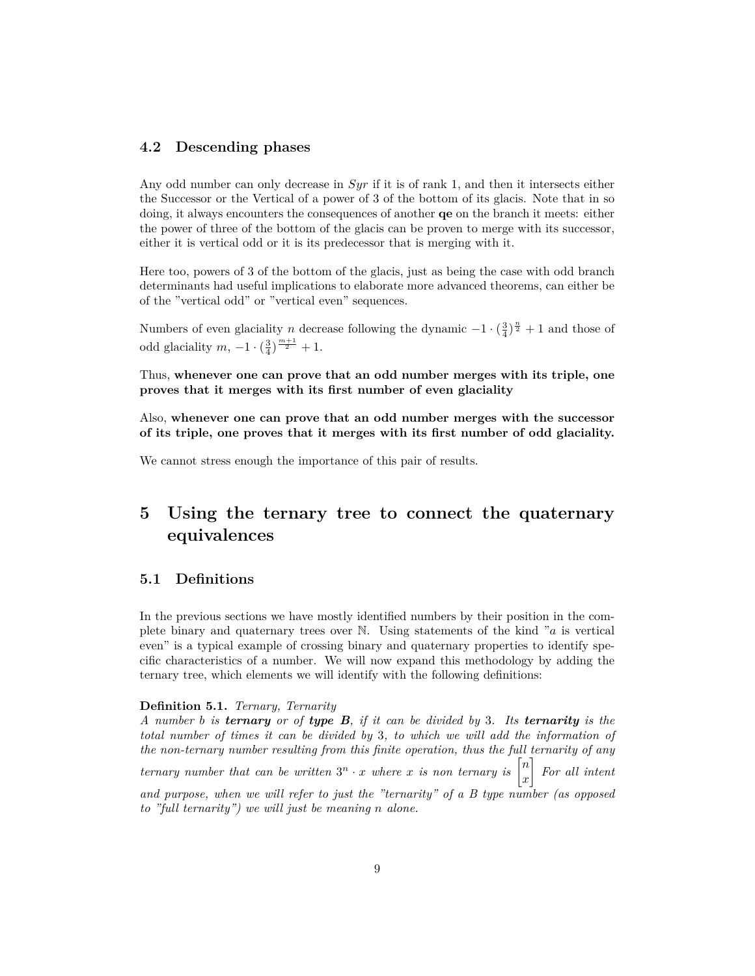## **4.2 Descending phases**

Any odd number can only decrease in *Syr* if it is of rank 1, and then it intersects either the Successor or the Vertical of a power of 3 of the bottom of its glacis. Note that in so doing, it always encounters the consequences of another **qe** on the branch it meets: either the power of three of the bottom of the glacis can be proven to merge with its successor, either it is vertical odd or it is its predecessor that is merging with it.

Here too, powers of 3 of the bottom of the glacis, just as being the case with odd branch determinants had useful implications to elaborate more advanced theorems, can either be of the "vertical odd" or "vertical even" sequences.

Numbers of even glaciality *n* decrease following the dynamic  $-1 \cdot (\frac{3}{4})^{\frac{n}{2}} + 1$  and those of odd glaciality *m*,  $-1 \cdot (\frac{3}{4})^{\frac{m+1}{2}} + 1$ .

Thus, **whenever one can prove that an odd number merges with its triple, one proves that it merges with its first number of even glaciality**

Also, **whenever one can prove that an odd number merges with the successor of its triple, one proves that it merges with its first number of odd glaciality.**

We cannot stress enough the importance of this pair of results.

## **5 Using the ternary tree to connect the quaternary equivalences**

## **5.1 Definitions**

In the previous sections we have mostly identified numbers by their position in the complete binary and quaternary trees over N. Using statements of the kind "*a* is vertical even" is a typical example of crossing binary and quaternary properties to identify specific characteristics of a number. We will now expand this methodology by adding the ternary tree, which elements we will identify with the following definitions:

### **Definition 5.1.** *Ternary, Ternarity*

*A number b is ternary or of type B, if it can be divided by* 3*. Its ternarity is the total number of times it can be divided by* 3*, to which we will add the information of the non-ternary number resulting from this finite operation, thus the full ternarity of any ternary number that can be written*  $3^n \cdot x$  *where x is non ternary is*  $\begin{bmatrix} n \\ n \end{bmatrix}$ *x* ] *For all intent and purpose, when we will refer to just the "ternarity" of a B type number (as opposed to "full ternarity") we will just be meaning n alone.*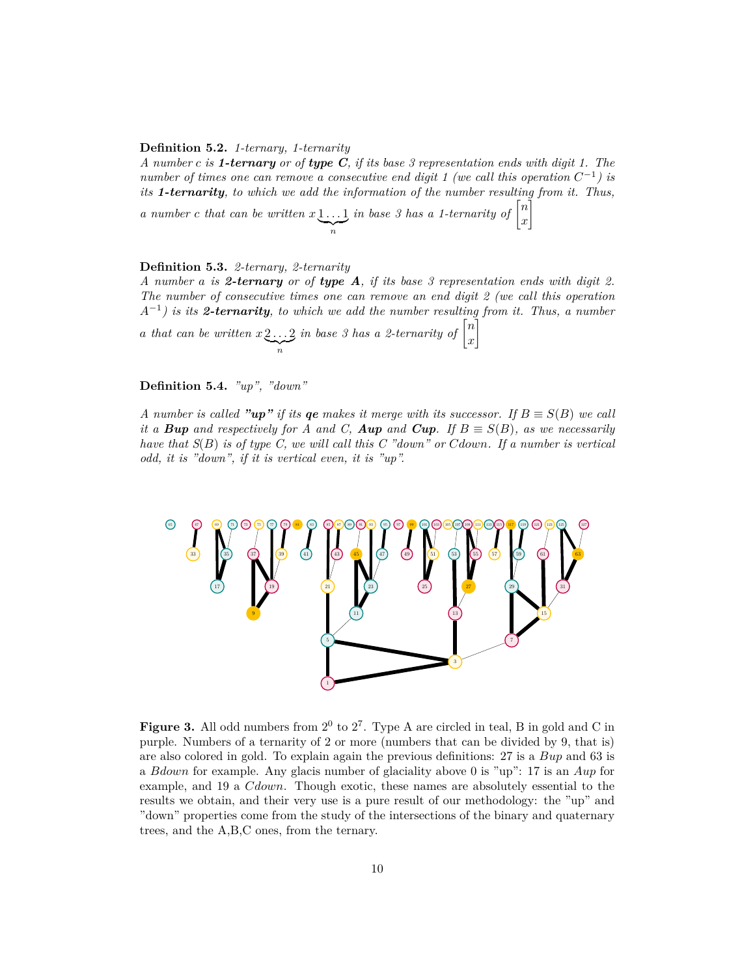### **Definition 5.2.** *1-ternary, 1-ternarity*

*A number c is 1-ternary or of type C, if its base 3 representation ends with digit 1. The number of times one can remove a consecutive end digit 1 (we call this operation*  $C^{-1}$ ) is *its 1-ternarity, to which we add the information of the number resulting from it. Thus,* ]

*a number c that can be written*  $x \downarrow ... \downarrow$  $\sum_{n}$  $\int$ *in base 3 has a 1-ternarity of*  $\begin{bmatrix} n \end{bmatrix}$ *x*

### **Definition 5.3.** *2-ternary, 2-ternarity*

*A number a is 2-ternary or of type A, if its base 3 representation ends with digit 2. The number of consecutive times one can remove an end digit 2 (we call this operation A−*<sup>1</sup> *) is its 2-ternarity, to which we add the number resulting from it. Thus, a number a that can be written x* 2 *. . .* 2 | {z } *n in base 3 has a 2-ternarity of*  $\begin{bmatrix} n \\ n \end{bmatrix}$ *x* ]

## **Definition 5.4.** *"up", "down"*

*A* number is called "up" if its ge makes it merge with its successor. If  $B \equiv S(B)$  we call *it a Bup* and respectively for A and C, Aup and Cup. If  $B \equiv S(B)$ *, as we necessarily have that S*(*B*) *is of type C, we will call this C "down" or Cdown. If a number is vertical odd, it is "down", if it is vertical even, it is "up".*



**Figure 3.** All odd numbers from  $2^0$  to  $2^7$ . Type A are circled in teal, B in gold and C in purple. Numbers of a ternarity of 2 or more (numbers that can be divided by 9, that is) are also colored in gold. To explain again the previous definitions: 27 is a *Bup* and 63 is a *Bdown* for example. Any glacis number of glaciality above 0 is "up": 17 is an *Aup* for example, and 19 a *Cdown*. Though exotic, these names are absolutely essential to the results we obtain, and their very use is a pure result of our methodology: the "up" and "down" properties come from the study of the intersections of the binary and quaternary trees, and the A,B,C ones, from the ternary.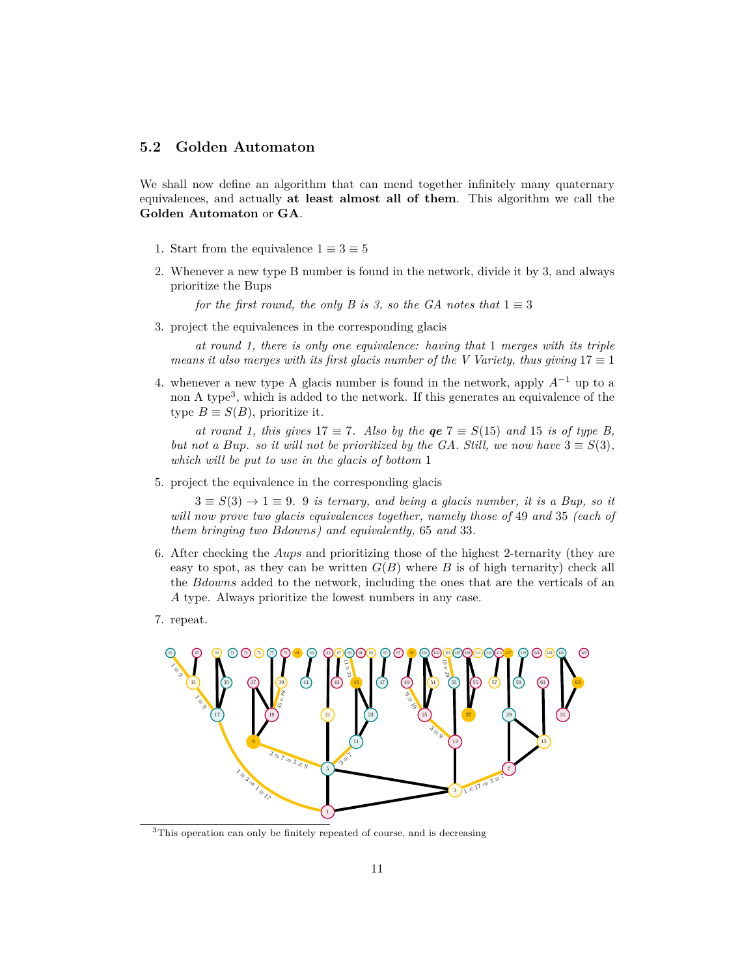## **5.2 Golden Automaton**

We shall now define an algorithm that can mend together infinitely many quaternary equivalences, and actually **at least almost all of them**. This algorithm we call the **Golden Automaton** or **GA**.

- 1. Start from the equivalence  $1 \equiv 3 \equiv 5$
- 2. Whenever a new type B number is found in the network, divide it by 3, and always prioritize the Bups

*for the first round, the only B is 3, so the GA notes that*  $1 \equiv 3$ 

3. project the equivalences in the corresponding glacis

*at round 1, there is only one equivalence: having that* 1 *merges with its triple means it also merges with its first glacis number of the V Variety, thus giving*  $17 \equiv 1$ 

4. whenever a new type A glacis number is found in the network, apply *A−*<sup>1</sup> up to a non A type<sup>3</sup>, which is added to the network. If this generates an equivalence of the type  $B \equiv S(B)$ , prioritize it.

*at round 1, this gives*  $17 \equiv 7$ *. Also by the qe*  $7 \equiv S(15)$  *<i>and* 15 *is of type B, but not a Bup. so it will not be prioritized by the GA. Still, we now have*  $3 \equiv S(3)$ *, which will be put to use in the glacis of bottom* 1

5. project the equivalence in the corresponding glacis

 $3 \equiv S(3) \rightarrow 1 \equiv 9$ *.* 9 *is ternary, and being a glacis number, it is a Bup, so it will now prove two glacis equivalences together, namely those of* 49 *and* 35 *(each of them bringing two Bdowns) and equivalently,* 65 *and* 33*.*

- 6. After checking the *Aups* and prioritizing those of the highest 2-ternarity (they are easy to spot, as they can be written  $G(B)$  where *B* is of high ternarity) check all the *Bdowns* added to the network, including the ones that are the verticals of an *A* type. Always prioritize the lowest numbers in any case.
- 7. repeat.



<sup>3</sup>This operation can only be finitely repeated of course, and is decreasing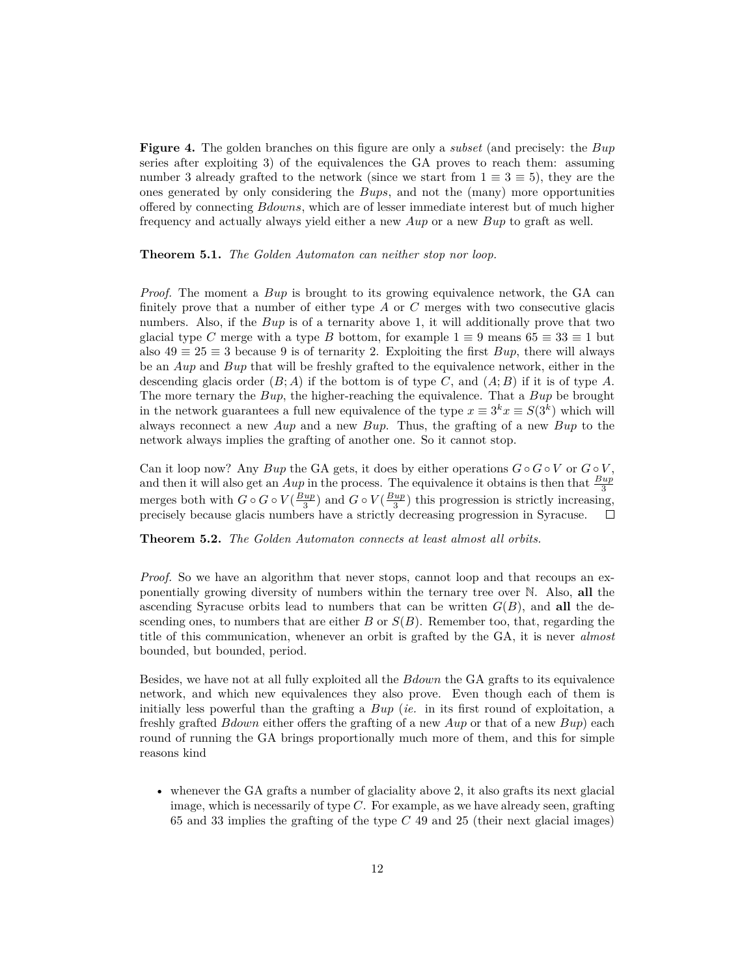**Figure 4.** The golden branches on this figure are only a *subset* (and precisely: the *Bup* series after exploiting 3) of the equivalences the GA proves to reach them: assuming number 3 already grafted to the network (since we start from  $1 \equiv 3 \equiv 5$ ), they are the ones generated by only considering the *Bups*, and not the (many) more opportunities offered by connecting *Bdowns*, which are of lesser immediate interest but of much higher frequency and actually always yield either a new *Aup* or a new *Bup* to graft as well.

**Theorem 5.1.** *The Golden Automaton can neither stop nor loop.*

*Proof.* The moment a *Bup* is brought to its growing equivalence network, the GA can finitely prove that a number of either type *A* or *C* merges with two consecutive glacis numbers. Also, if the *Bup* is of a ternarity above 1, it will additionally prove that two glacial type *C* merge with a type *B* bottom, for example  $1 \equiv 9$  means  $65 \equiv 33 \equiv 1$  but also  $49 \equiv 25 \equiv 3$  because 9 is of ternarity 2. Exploiting the first *Bup*, there will always be an *Aup* and *Bup* that will be freshly grafted to the equivalence network, either in the descending glacis order  $(B; A)$  if the bottom is of type *C*, and  $(A; B)$  if it is of type *A*. The more ternary the *Bup*, the higher-reaching the equivalence. That a *Bup* be brought in the network guarantees a full new equivalence of the type  $x \equiv 3^k x \equiv S(3^k)$  which will always reconnect a new *Aup* and a new *Bup*. Thus, the grafting of a new *Bup* to the network always implies the grafting of another one. So it cannot stop.

Can it loop now? Any *Bup* the GA gets, it does by either operations  $G \circ G \circ V$  or  $G \circ V$ , and then it will also get an  $Aup$  in the process. The equivalence it obtains is then that  $\frac{Bup}{3}$ merges both with  $G \circ G \circ V(\frac{Bup}{3})$  and  $G \circ V(\frac{Bup}{3})$  this progression is strictly increasing, precisely because glacis numbers have a strictly decreasing progression in Syracuse.

**Theorem 5.2.** *The Golden Automaton connects at least almost all orbits.*

*Proof.* So we have an algorithm that never stops, cannot loop and that recoups an exponentially growing diversity of numbers within the ternary tree over N. Also, **all** the ascending Syracuse orbits lead to numbers that can be written  $G(B)$ , and **all** the descending ones, to numbers that are either *B* or *S*(*B*). Remember too, that, regarding the title of this communication, whenever an orbit is grafted by the GA, it is never *almost* bounded, but bounded, period.

Besides, we have not at all fully exploited all the *Bdown* the GA grafts to its equivalence network, and which new equivalences they also prove. Even though each of them is initially less powerful than the grafting a *Bup* (*ie.* in its first round of exploitation, a freshly grafted *Bdown* either offers the grafting of a new *Aup* or that of a new *Bup*) each round of running the GA brings proportionally much more of them, and this for simple reasons kind

• whenever the GA grafts a number of glaciality above 2, it also grafts its next glacial image, which is necessarily of type *C*. For example, as we have already seen, grafting 65 and 33 implies the grafting of the type *C* 49 and 25 (their next glacial images)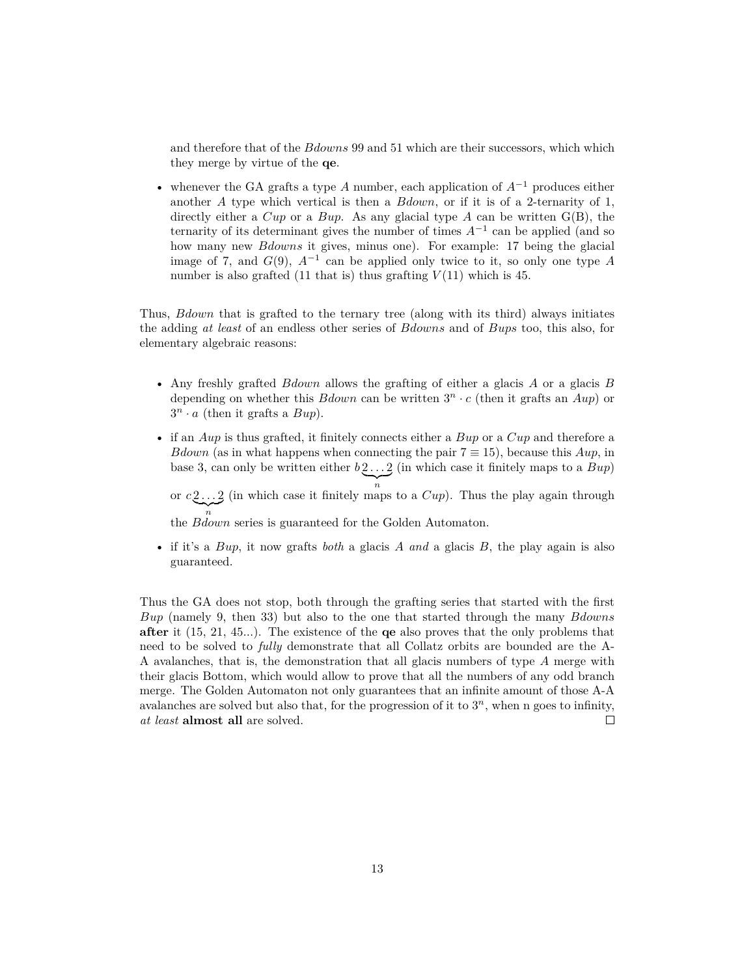and therefore that of the *Bdowns* 99 and 51 which are their successors, which which they merge by virtue of the **qe**.

• whenever the GA grafts a type *A* number, each application of *A−*<sup>1</sup> produces either another *A* type which vertical is then a *Bdown*, or if it is of a 2-ternarity of 1, directly either a *Cup* or a *Bup*. As any glacial type *A* can be written G(B), the ternarity of its determinant gives the number of times *A−*<sup>1</sup> can be applied (and so how many new *Bdowns* it gives, minus one). For example: 17 being the glacial image of 7, and *G*(9), *A−*<sup>1</sup> can be applied only twice to it, so only one type *A* number is also grafted (11 that is) thus grafting  $V(11)$  which is 45.

Thus, *Bdown* that is grafted to the ternary tree (along with its third) always initiates the adding *at least* of an endless other series of *Bdowns* and of *Bups* too, this also, for elementary algebraic reasons:

- Any freshly grafted *Bdown* allows the grafting of either a glacis *A* or a glacis *B* depending on whether this  $Bdown$  can be written  $3^n \cdot c$  (then it grafts an  $Aup$ ) or  $3^n \cdot a$  (then it grafts a  $Bup$ ).
- if an *Aup* is thus grafted, it finitely connects either a *Bup* or a *Cup* and therefore a *Bdown* (as in what happens when connecting the pair  $7 \equiv 15$ ), because this *Aup*, in base 3, can only be written either  $b_2 \ldots 2$  $\sum_{n}$ (in which case it finitely maps to a *Bup*)

or  $c_2$ ... 2 (in which case it finitely ma  $\sum_{n}$ (in which case it finitely maps to a *Cup*). Thus the play again through

*n* the *Bdown* series is guaranteed for the Golden Automaton.

• if it's a *Bup*, it now grafts *both* a glacis *A and* a glacis *B*, the play again is also guaranteed.

Thus the GA does not stop, both through the grafting series that started with the first *Bup* (namely 9, then 33) but also to the one that started through the many *Bdowns* **after** it (15, 21, 45...). The existence of the **qe** also proves that the only problems that need to be solved to *fully* demonstrate that all Collatz orbits are bounded are the A-A avalanches, that is, the demonstration that all glacis numbers of type *A* merge with their glacis Bottom, which would allow to prove that all the numbers of any odd branch merge. The Golden Automaton not only guarantees that an infinite amount of those A-A avalanches are solved but also that, for the progression of it to 3 *<sup>n</sup>*, when n goes to infinity, *at least* **almost all** are solved.  $\Box$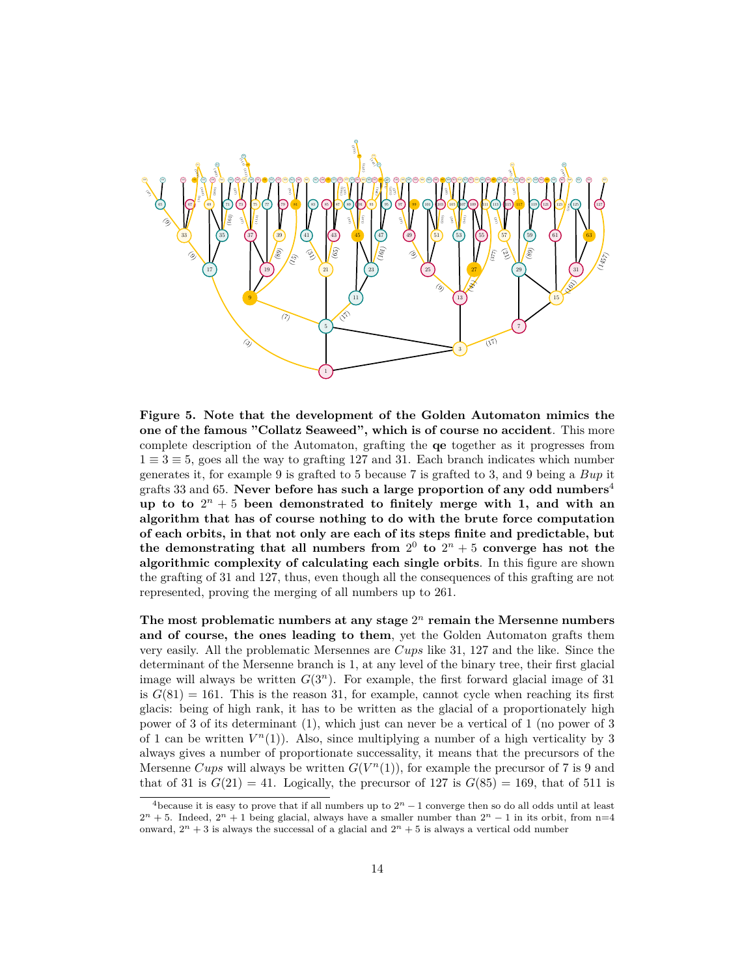

**Figure 5. Note that the development of the Golden Automaton mimics the one of the famous "Collatz Seaweed", which is of course no accident**. This more complete description of the Automaton, grafting the **qe** together as it progresses from 1 *≡* 3 *≡* 5, goes all the way to grafting 127 and 31. Each branch indicates which number generates it, for example 9 is grafted to 5 because 7 is grafted to 3, and 9 being a *Bup* it grafts 33 and 65. **Never before has such a large proportion of any odd numbers**<sup>4</sup> up to to  $2^n + 5$  been demonstrated to finitely merge with 1, and with an **algorithm that has of course nothing to do with the brute force computation of each orbits, in that not only are each of its steps finite and predictable, but** the demonstrating that all numbers from  $2^0$  to  $2^n + 5$  converge has not the **algorithmic complexity of calculating each single orbits**. In this figure are shown the grafting of 31 and 127, thus, even though all the consequences of this grafting are not represented, proving the merging of all numbers up to 261.

**The most problematic numbers at any stage** 2 *<sup>n</sup>* **remain the Mersenne numbers and of course, the ones leading to them**, yet the Golden Automaton grafts them very easily. All the problematic Mersennes are *Cups* like 31, 127 and the like. Since the determinant of the Mersenne branch is 1, at any level of the binary tree, their first glacial image will always be written  $G(3^n)$ . For example, the first forward glacial image of 31 is  $G(81) = 161$ . This is the reason 31, for example, cannot cycle when reaching its first glacis: being of high rank, it has to be written as the glacial of a proportionately high power of 3 of its determinant (1), which just can never be a vertical of 1 (no power of 3 of 1 can be written  $V^n(1)$ ). Also, since multiplying a number of a high verticality by 3 always gives a number of proportionate successality, it means that the precursors of the Mersenne *Cups* will always be written  $G(V^n(1))$ , for example the precursor of 7 is 9 and that of 31 is  $G(21) = 41$ . Logically, the precursor of 127 is  $G(85) = 169$ , that of 511 is

<sup>&</sup>lt;sup>4</sup>because it is easy to prove that if all numbers up to  $2<sup>n</sup> - 1$  converge then so do all odds until at least  $2^{n} + 5$ . Indeed,  $2^{n} + 1$  being glacial, always have a smaller number than  $2^{n} - 1$  in its orbit, from n=4 onward,  $2^n + 3$  is always the successal of a glacial and  $2^n + 5$  is always a vertical odd number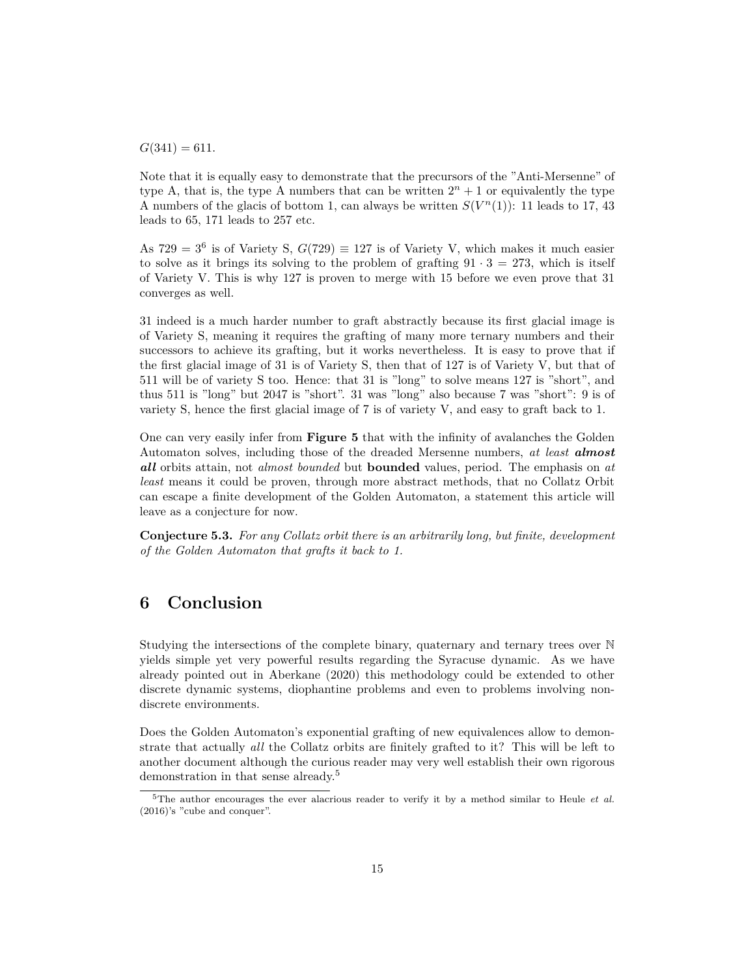$G(341) = 611.$ 

Note that it is equally easy to demonstrate that the precursors of the "Anti-Mersenne" of type A, that is, the type A numbers that can be written  $2^n + 1$  or equivalently the type A numbers of the glacis of bottom 1, can always be written  $S(V^n(1))$ : 11 leads to 17, 43 leads to 65, 171 leads to 257 etc.

As  $729 = 3^6$  is of Variety S,  $G(729) \equiv 127$  is of Variety V, which makes it much easier to solve as it brings its solving to the problem of grafting  $91 \cdot 3 = 273$ , which is itself of Variety V. This is why 127 is proven to merge with 15 before we even prove that 31 converges as well.

31 indeed is a much harder number to graft abstractly because its first glacial image is of Variety S, meaning it requires the grafting of many more ternary numbers and their successors to achieve its grafting, but it works nevertheless. It is easy to prove that if the first glacial image of 31 is of Variety S, then that of 127 is of Variety V, but that of 511 will be of variety S too. Hence: that 31 is "long" to solve means 127 is "short", and thus 511 is "long" but 2047 is "short". 31 was "long" also because 7 was "short": 9 is of variety S, hence the first glacial image of 7 is of variety V, and easy to graft back to 1.

One can very easily infer from **Figure 5** that with the infinity of avalanches the Golden Automaton solves, including those of the dreaded Mersenne numbers, *at least almost all* orbits attain, not *almost bounded* but **bounded** values, period. The emphasis on *at least* means it could be proven, through more abstract methods, that no Collatz Orbit can escape a finite development of the Golden Automaton, a statement this article will leave as a conjecture for now.

**Conjecture 5.3.** *For any Collatz orbit there is an arbitrarily long, but finite, development of the Golden Automaton that grafts it back to 1.*

## **6 Conclusion**

Studying the intersections of the complete binary, quaternary and ternary trees over N yields simple yet very powerful results regarding the Syracuse dynamic. As we have already pointed out in Aberkane (2020) this methodology could be extended to other discrete dynamic systems, diophantine problems and even to problems involving nondiscrete environments.

Does the Golden Automaton's exponential grafting of new equivalences allow to demonstrate that actually *all* the Collatz orbits are finitely grafted to it? This will be left to another document although the curious reader may very well establish their own rigorous demonstration in that sense already.<sup>5</sup>

<sup>5</sup>The author encourages the ever alacrious reader to verify it by a method similar to Heule *et al.* (2016)'s "cube and conquer".